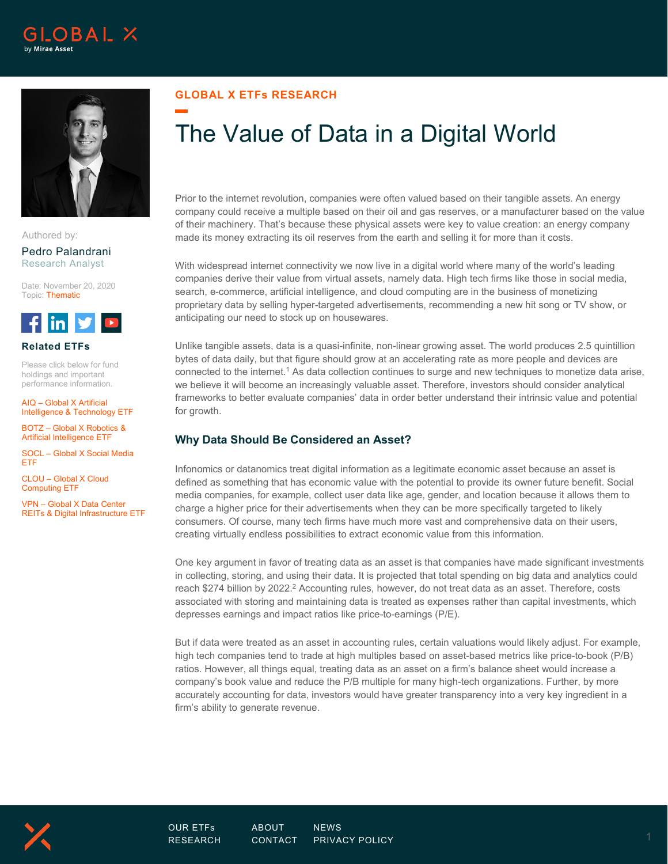



Authored by:

Pedro Palandrani Research Analyst

Date: November 20, 2020 Topic: Thematic



#### **Related ETFs**

Please click below for fund holdings and important performance information.

AIQ – Global X Artificial Intelligence & Technology ETF

BOTZ – Global X Robotics & Artificial Intelligence ETF

SOCL – Global X Social Media ETF

CLOU – Global X Cloud Computing ETF

VPN – Global X Data Center REITs & Digital Infrastructure ETF

## **GLOBAL X ETFs RESEARCH**

# The Value of Data in a Digital World

Prior to the internet revolution, companies were often valued based on their tangible assets. An energy company could receive a multiple based on their oil and gas reserves, or a manufacturer based on the value of their machinery. That's because these physical assets were key to value creation: an energy company made its money extracting its oil reserves from the earth and selling it for more than it costs.

With widespread internet connectivity we now live in a digital world where many of the world's leading companies derive their value from virtual assets, namely data. High tech firms like those in social media, search, e-commerce, artificial intelligence, and cloud computing are in the business of monetizing proprietary data by selling hyper-targeted advertisements, recommending a new hit song or TV show, or anticipating our need to stock up on housewares.

Unlike tangible assets, data is a quasi-infinite, non-linear growing asset. The world produces 2.5 quintillion bytes of data daily, but that figure should grow at an accelerating rate as more people and devices are connected to the internet. <sup>1</sup> As data collection continues to surge and new techniques to monetize data arise, we believe it will become an increasingly valuable asset. Therefore, investors should consider analytical frameworks to better evaluate companies' data in order better understand their intrinsic value and potential for growth.

# **Why Data Should Be Considered an Asset?**

Infonomics or datanomics treat digital information as a legitimate economic asset because an asset is defined as something that has economic value with the potential to provide its owner future benefit. Social media companies, for example, collect user data like age, gender, and location because it allows them to charge a higher price for their advertisements when they can be more specifically targeted to likely consumers. Of course, many tech firms have much more vast and comprehensive data on their users, creating virtually endless possibilities to extract economic value from this information.

One key argument in favor of treating data as an asset is that companies have made significant investments in collecting, storing, and using their data. It is projected that total spending on big data and analytics could reach \$274 billion by 2022.<sup>2</sup> Accounting rules, however, do not treat data as an asset. Therefore, costs associated with storing and maintaining data is treated as expenses rather than capital investments, which depresses earnings and impact ratios like price-to-earnings (P/E).

But if data were treated as an asset in accounting rules, certain valuations would likely adjust. For example, high tech companies tend to trade at high multiples based on asset-based metrics like price-to-book (P/B) ratios. However, all things equal, treating data as an asset on a firm's balance sheet would increase a company's book value and reduce the P/B multiple for many high-tech organizations. Further, by more accurately accounting for data, investors would have greater transparency into a very key ingredient in a firm's ability to generate revenue.

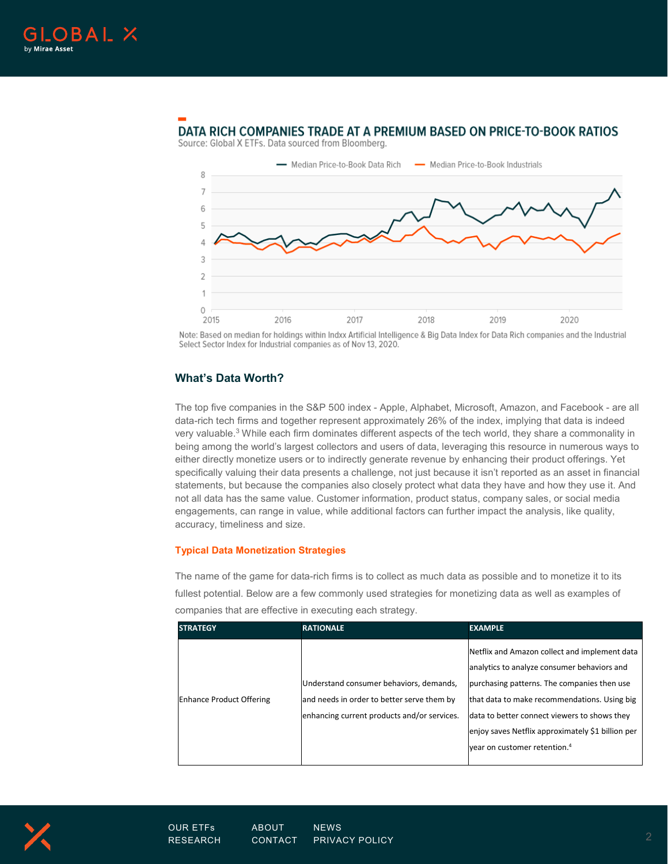

# DATA RICH COMPANIES TRADE AT A PREMIUM BASED ON PRICE-TO-BOOK RATIOS



Source: Global X ETFs. Data sourced from Bloomberg.

Note: Based on median for holdings within Indxx Artificial Intelligence & Big Data Index for Data Rich companies and the Industrial Select Sector Index for Industrial companies as of Nov 13, 2020.

### **What's Data Worth?**

The top five companies in the S&P 500 index - Apple, Alphabet, Microsoft, Amazon, and Facebook - are all data-rich tech firms and together represent approximately 26% of the index, implying that data is indeed very valuable. <sup>3</sup> While each firm dominates different aspects of the tech world, they share a commonality in being among the world's largest collectors and users of data, leveraging this resource in numerous ways to either directly monetize users or to indirectly generate revenue by enhancing their product offerings. Yet specifically valuing their data presents a challenge, not just because it isn't reported as an asset in financial statements, but because the companies also closely protect what data they have and how they use it. And not all data has the same value. Customer information, product status, company sales, or social media engagements, can range in value, while additional factors can further impact the analysis, like quality, accuracy, timeliness and size.

#### **Typical Data Monetization Strategies**

The name of the game for data-rich firms is to collect as much data as possible and to monetize it to its fullest potential. Below are a few commonly used strategies for monetizing data as well as examples of companies that are effective in executing each strategy.

| <b>STRATEGY</b>                 | <b>RATIONALE</b>                                                                                                                     | <b>EXAMPLE</b>                                                                                                                                                                                                                                                                                                                               |
|---------------------------------|--------------------------------------------------------------------------------------------------------------------------------------|----------------------------------------------------------------------------------------------------------------------------------------------------------------------------------------------------------------------------------------------------------------------------------------------------------------------------------------------|
| <b>Enhance Product Offering</b> | Understand consumer behaviors, demands,<br>and needs in order to better serve them by<br>enhancing current products and/or services. | Netflix and Amazon collect and implement data<br>analytics to analyze consumer behaviors and<br>purchasing patterns. The companies then use<br>that data to make recommendations. Using big<br>data to better connect viewers to shows they<br>enjoy saves Netflix approximately \$1 billion per<br>year on customer retention. <sup>4</sup> |

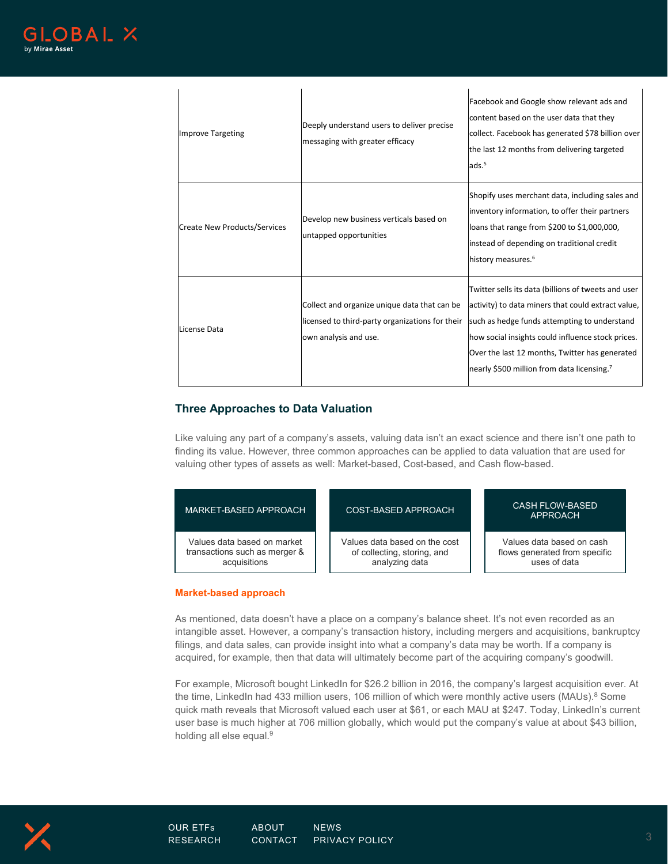$\mathbb{R}^2$ 

| <b>Improve Targeting</b>     | Deeply understand users to deliver precise<br>messaging with greater efficacy                                            | Facebook and Google show relevant ads and<br>content based on the user data that they<br>collect. Facebook has generated \$78 billion over<br>the last 12 months from delivering targeted<br>ads. <sup>5</sup>                                                                                                             |
|------------------------------|--------------------------------------------------------------------------------------------------------------------------|----------------------------------------------------------------------------------------------------------------------------------------------------------------------------------------------------------------------------------------------------------------------------------------------------------------------------|
| Create New Products/Services | Develop new business verticals based on<br>untapped opportunities                                                        | Shopify uses merchant data, including sales and<br>inventory information, to offer their partners<br>loans that range from \$200 to \$1,000,000,<br>instead of depending on traditional credit<br>history measures. <sup>6</sup>                                                                                           |
| License Data                 | Collect and organize unique data that can be<br>licensed to third-party organizations for their<br>own analysis and use. | Twitter sells its data (billions of tweets and user<br>activity) to data miners that could extract value,<br>such as hedge funds attempting to understand<br>how social insights could influence stock prices.<br>Over the last 12 months, Twitter has generated<br>nearly \$500 million from data licensing. <sup>7</sup> |

 $\mathbf{r}$ 

# **Three Approaches to Data Valuation**

 $\mathcal{A}$ 

Like valuing any part of a company's assets, valuing data isn't an exact science and there isn't one path to finding its value. However, three common approaches can be applied to data valuation that are used for valuing other types of assets as well: Market-based, Cost-based, and Cash flow-based.

| MARKET-BASED APPROACH         | COST-BASED APPROACH           | <b>CASH FLOW-BASED</b><br>APPROACH |
|-------------------------------|-------------------------------|------------------------------------|
| Values data based on market   | Values data based on the cost | Values data based on cash          |
| transactions such as merger & | of collecting, storing, and   | flows generated from specific      |
| acquisitions                  | analyzing data                | uses of data                       |

#### **Market-based approach**

As mentioned, data doesn't have a place on a company's balance sheet. It's not even recorded as an intangible asset. However, a company's transaction history, including mergers and acquisitions, bankruptcy filings, and data sales, can provide insight into what a company's data may be worth. If a company is acquired, for example, then that data will ultimately become part of the acquiring company's goodwill.

For example, Microsoft bought LinkedIn for \$26.2 billion in 2016, the company's largest acquisition ever. At the time, LinkedIn had 433 million users, 106 million of which were monthly active users (MAUs).<sup>8</sup> Some quick math reveals that Microsoft valued each user at \$61, or each MAU at \$247. Today, LinkedIn's current user base is much higher at 706 million globally, which would put the company's value at about \$43 billion, holding all else equal. 9

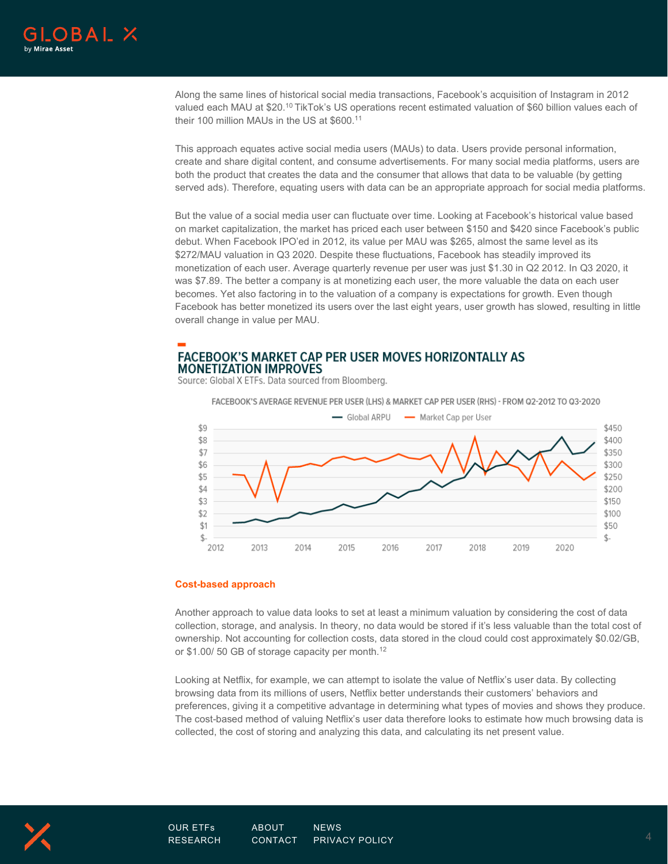

Along the same lines of historical social media transactions, Facebook's acquisition of Instagram in 2012 valued each MAU at \$20.<sup>10</sup> TikTok's US operations recent estimated valuation of \$60 billion values each of their 100 million MAUs in the US at \$600. 11

This approach equates active social media users (MAUs) to data. Users provide personal information, create and share digital content, and consume advertisements. For many social media platforms, users are both the product that creates the data and the consumer that allows that data to be valuable (by getting served ads). Therefore, equating users with data can be an appropriate approach for social media platforms.

But the value of a social media user can fluctuate over time. Looking at Facebook's historical value based on market capitalization, the market has priced each user between \$150 and \$420 since Facebook's public debut. When Facebook IPO'ed in 2012, its value per MAU was \$265, almost the same level as its \$272/MAU valuation in Q3 2020. Despite these fluctuations, Facebook has steadily improved its monetization of each user. Average quarterly revenue per user was just \$1.30 in Q2 2012. In Q3 2020, it was \$7.89. The better a company is at monetizing each user, the more valuable the data on each user becomes. Yet also factoring in to the valuation of a company is expectations for growth. Even though Facebook has better monetized its users over the last eight years, user growth has slowed, resulting in little overall change in value per MAU.

# **FACEBOOK'S MARKET CAP PER USER MOVES HORIZONTALLY AS MONETIZATION IMPROVES**

Source: Global X ETFs. Data sourced from Bloomberg.

FACEBOOK'S AVERAGE REVENUE PER USER (LHS) & MARKET CAP PER USER (RHS) - FROM Q2-2012 TO Q3-2020



#### **Cost-based approach**

Another approach to value data looks to set at least a minimum valuation by considering the cost of data collection, storage, and analysis. In theory, no data would be stored if it's less valuable than the total cost of ownership. Not accounting for collection costs, data stored in the cloud could cost approximately \$0.02/GB, or \$1.00/ 50 GB of storage capacity per month.<sup>12</sup>

Looking at Netflix, for example, we can attempt to isolate the value of Netflix's user data. By collecting browsing data from its millions of users, Netflix better understands their customers' behaviors and preferences, giving it a competitive advantage in determining what types of movies and shows they produce. The cost-based method of valuing Netflix's user data therefore looks to estimate how much browsing data is collected, the cost of storing and analyzing this data, and calculating its net present value.

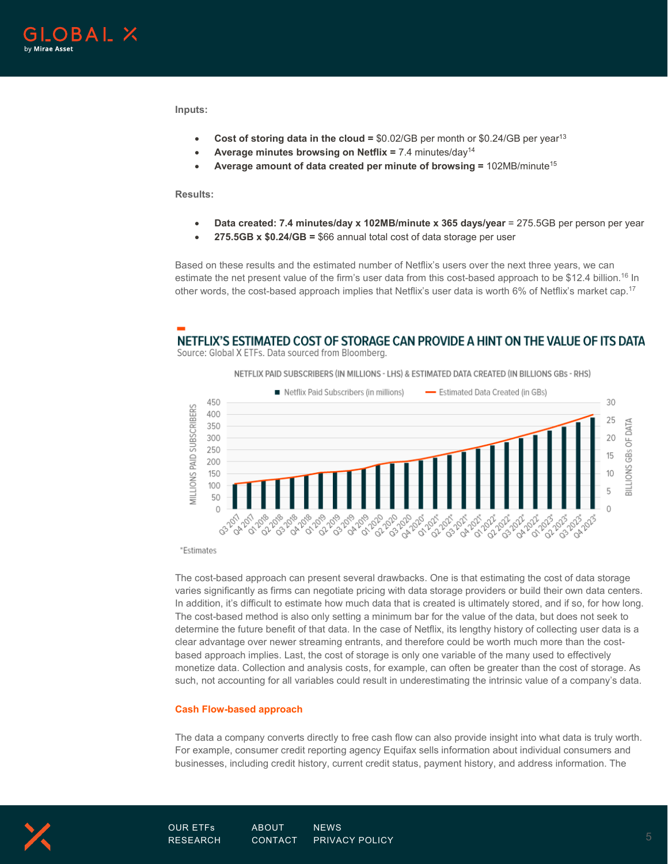

**Inputs:**

- **Cost of storing data in the cloud = \$0.02/GB per month or \$0.24/GB per year<sup>13</sup>**
- **Average minutes browsing on Netflix =** 7.4 minutes/day14
- **Average amount of data created per minute of browsing =** 102MB/minute15

**Results:**

- **Data created: 7.4 minutes/day x 102MB/minute x 365 days/year** = 275.5GB per person per year
- **275.5GB x \$0.24/GB =** \$66 annual total cost of data storage per user

Based on these results and the estimated number of Netflix's users over the next three years, we can estimate the net present value of the firm's user data from this cost-based approach to be \$12.4 billion.<sup>16</sup> In other words, the cost-based approach implies that Netflix's user data is worth 6% of Netflix's market cap.<sup>17</sup>

# NETFLIX'S ESTIMATED COST OF STORAGE CAN PROVIDE A HINT ON THE VALUE OF ITS DATA

Source: Global X ETFs. Data sourced from Bloomberg.

NETFLIX PAID SUBSCRIBERS (IN MILLIONS - LHS) & ESTIMATED DATA CREATED (IN BILLIONS GBS - RHS)



\*Estimates

The cost-based approach can present several drawbacks. One is that estimating the cost of data storage varies significantly as firms can negotiate pricing with data storage providers or build their own data centers. In addition, it's difficult to estimate how much data that is created is ultimately stored, and if so, for how long. The cost-based method is also only setting a minimum bar for the value of the data, but does not seek to determine the future benefit of that data. In the case of Netflix, its lengthy history of collecting user data is a clear advantage over newer streaming entrants, and therefore could be worth much more than the costbased approach implies. Last, the cost of storage is only one variable of the many used to effectively monetize data. Collection and analysis costs, for example, can often be greater than the cost of storage. As such, not accounting for all variables could result in underestimating the intrinsic value of a company's data.

#### **Cash Flow-based approach**

The data a company converts directly to free cash flow can also provide insight into what data is truly worth. For example, consumer credit reporting agency Equifax sells information about individual consumers and businesses, including credit history, current credit status, payment history, and address information. The

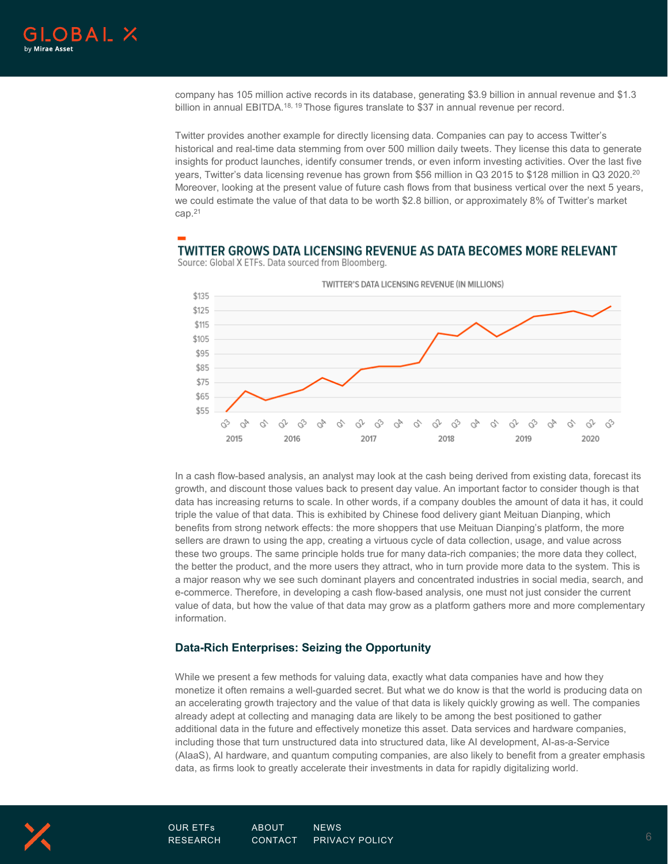company has 105 million active records in its database, generating \$3.9 billion in annual revenue and \$1.3 billion in annual EBITDA.<sup>18, 19</sup> Those figures translate to \$37 in annual revenue per record.

Twitter provides another example for directly licensing data. Companies can pay to access Twitter's historical and real-time data stemming from over 500 million daily tweets. They license this data to generate insights for product launches, identify consumer trends, or even inform investing activities. Over the last five years, Twitter's data licensing revenue has grown from \$56 million in Q3 2015 to \$128 million in Q3 2020. 20 Moreover, looking at the present value of future cash flows from that business vertical over the next 5 years, we could estimate the value of that data to be worth \$2.8 billion, or approximately 8% of Twitter's market cap. 21

# TWITTER GROWS DATA LICENSING REVENUE AS DATA BECOMES MORE RELEVANT



Source: Global X ETFs. Data sourced from Bloomberg.

In a cash flow-based analysis, an analyst may look at the cash being derived from existing data, forecast its growth, and discount those values back to present day value. An important factor to consider though is that data has increasing returns to scale. In other words, if a company doubles the amount of data it has, it could triple the value of that data. This is exhibited by Chinese food delivery giant Meituan Dianping, which benefits from strong network effects: the more shoppers that use Meituan Dianping's platform, the more sellers are drawn to using the app, creating a virtuous cycle of data collection, usage, and value across these two groups. The same principle holds true for many data-rich companies; the more data they collect, the better the product, and the more users they attract, who in turn provide more data to the system. This is a major reason why we see such dominant players and concentrated industries in social media, search, and e-commerce. Therefore, in developing a cash flow-based analysis, one must not just consider the current value of data, but how the value of that data may grow as a platform gathers more and more complementary information.

#### **Data-Rich Enterprises: Seizing the Opportunity**

While we present a few methods for valuing data, exactly what data companies have and how they monetize it often remains a well-guarded secret. But what we do know is that the world is producing data on an accelerating growth trajectory and the value of that data is likely quickly growing as well. The companies already adept at collecting and managing data are likely to be among the best positioned to gather additional data in the future and effectively monetize this asset. Data services and hardware companies, including those that turn unstructured data into structured data, like AI development, AI-as-a-Service (AIaaS), AI hardware, and quantum computing companies, are also likely to benefit from a greater emphasis data, as firms look to greatly accelerate their investments in data for rapidly digitalizing world.

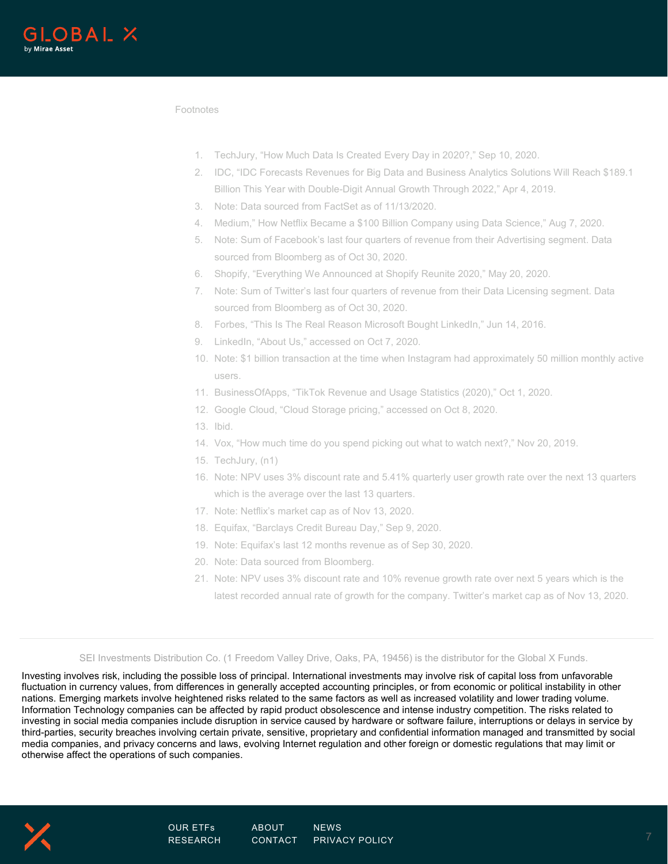

Footnotes

- 1. TechJury, "How Much Data Is Created Every Day in 2020?," Sep 10, 2020.
- 2. IDC, "IDC Forecasts Revenues for Big Data and Business Analytics Solutions Will Reach \$189.1 Billion This Year with Double-Digit Annual Growth Through 2022," Apr 4, 2019.
- 3. Note: Data sourced from FactSet as of 11/13/2020.
- 4. Medium," How Netflix Became a \$100 Billion Company using Data Science," Aug 7, 2020.
- 5. Note: Sum of Facebook's last four quarters of revenue from their Advertising segment. Data sourced from Bloomberg as of Oct 30, 2020.
- 6. Shopify, "Everything We Announced at Shopify Reunite 2020," May 20, 2020.
- 7. Note: Sum of Twitter's last four quarters of revenue from their Data Licensing segment. Data sourced from Bloomberg as of Oct 30, 2020.
- 8. Forbes, "This Is The Real Reason Microsoft Bought LinkedIn," Jun 14, 2016.
- 9. LinkedIn, "About Us," accessed on Oct 7, 2020.
- 10. Note: \$1 billion transaction at the time when Instagram had approximately 50 million monthly active users.
- 11. BusinessOfApps, "TikTok Revenue and Usage Statistics (2020)," Oct 1, 2020.
- 12. Google Cloud, "Cloud Storage pricing," accessed on Oct 8, 2020.
- 13. Ibid.
- 14. Vox, "How much time do you spend picking out what to watch next?," Nov 20, 2019.
- 15. TechJury, (n1)
- 16. Note: NPV uses 3% discount rate and 5.41% quarterly user growth rate over the next 13 quarters which is the average over the last 13 quarters.
- 17. Note: Netflix's market cap as of Nov 13, 2020.
- 18. Equifax, "Barclays Credit Bureau Day," Sep 9, 2020.
- 19. Note: Equifax's last 12 months revenue as of Sep 30, 2020.
- 20. Note: Data sourced from Bloomberg.
- 21. Note: NPV uses 3% discount rate and 10% revenue growth rate over next 5 years which is the latest recorded annual rate of growth for the company. Twitter's market cap as of Nov 13, 2020.

SEI Investments Distribution Co. (1 Freedom Valley Drive, Oaks, PA, 19456) is the distributor for the Global X Funds.

Investing involves risk, including the possible loss of principal. International investments may involve risk of capital loss from unfavorable fluctuation in currency values, from differences in generally accepted accounting principles, or from economic or political instability in other nations. Emerging markets involve heightened risks related to the same factors as well as increased volatility and lower trading volume. Information Technology companies can be affected by rapid product obsolescence and intense industry competition. The risks related to investing in social media companies include disruption in service caused by hardware or software failure, interruptions or delays in service by third-parties, security breaches involving certain private, sensitive, proprietary and confidential information managed and transmitted by social media companies, and privacy concerns and laws, evolving Internet regulation and other foreign or domestic regulations that may limit or otherwise affect the operations of such companies.